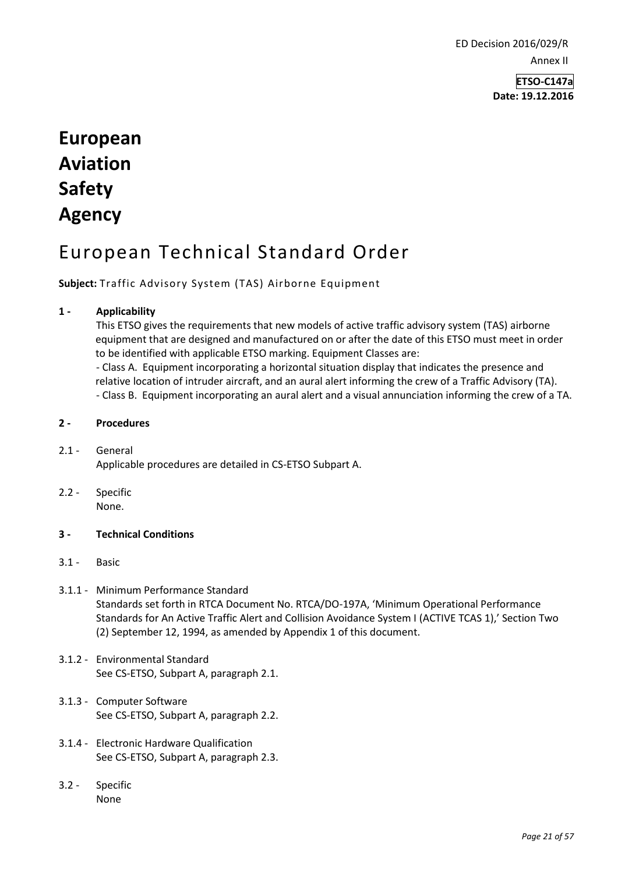ED Decision 2016/029/R Annex II

> **ETSO-C147a Date: 19.12.2016**

# **European Aviation Safety Agency**

# European Technical Standard Order

**Subject:** Traffic Advisory System (TAS) Airborne Equipment

#### **1 - Applicability**

This ETSO gives the requirements that new models of active traffic advisory system (TAS) airborne equipment that are designed and manufactured on or after the date of this ETSO must meet in order to be identified with applicable ETSO marking. Equipment Classes are:

- Class A. Equipment incorporating a horizontal situation display that indicates the presence and relative location of intruder aircraft, and an aural alert informing the crew of a Traffic Advisory (TA). - Class B. Equipment incorporating an aural alert and a visual annunciation informing the crew of a TA.

#### **2 - Procedures**

- 2.1 General Applicable procedures are detailed in CS-ETSO Subpart A.
- 2.2 Specific None.
- **3 - Technical Conditions**
- 3.1 Basic
- 3.1.1 Minimum Performance Standard Standards set forth in RTCA Document No. RTCA/DO-197A, 'Minimum Operational Performance Standards for An Active Traffic Alert and Collision Avoidance System I (ACTIVE TCAS 1),' Section Two (2) September 12, 1994, as amended by Appendix 1 of this document.
- 3.1.2 Environmental Standard See CS-ETSO, Subpart A, paragraph 2.1.
- 3.1.3 Computer Software See CS-ETSO, Subpart A, paragraph 2.2.
- 3.1.4 Electronic Hardware Qualification See CS-ETSO, Subpart A, paragraph 2.3.
- 3.2 Specific None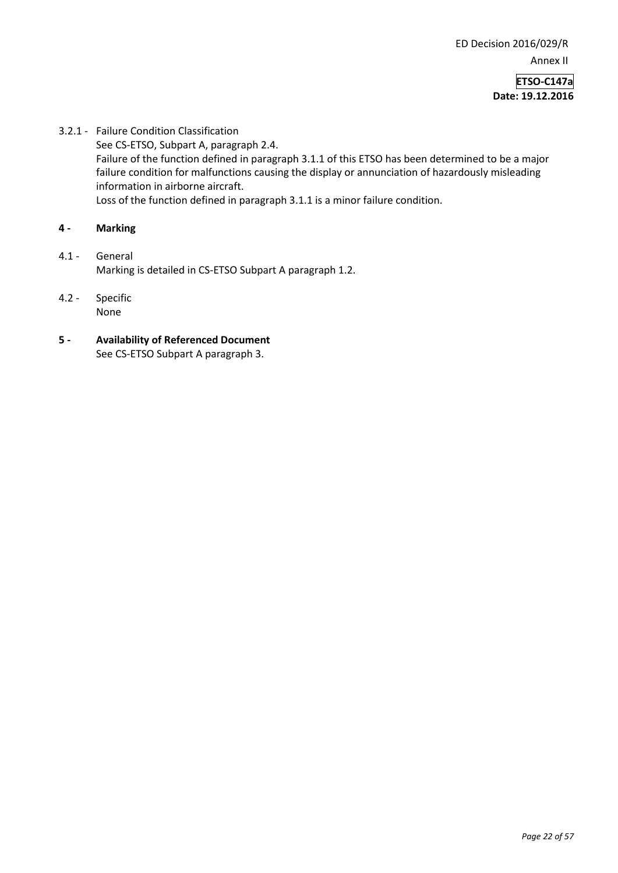3.2.1 - Failure Condition Classification See CS-ETSO, Subpart A, paragraph 2.4. Failure of the function defined in paragraph 3.1.1 of this ETSO has been determined to be a major failure condition for malfunctions causing the display or annunciation of hazardously misleading information in airborne aircraft. Loss of the function defined in paragraph 3.1.1 is a minor failure condition.

## **4 - Marking**

- 4.1 General Marking is detailed in CS-ETSO Subpart A paragraph 1.2.
- 4.2 Specific None
- **5 - Availability of Referenced Document**  See CS-ETSO Subpart A paragraph 3.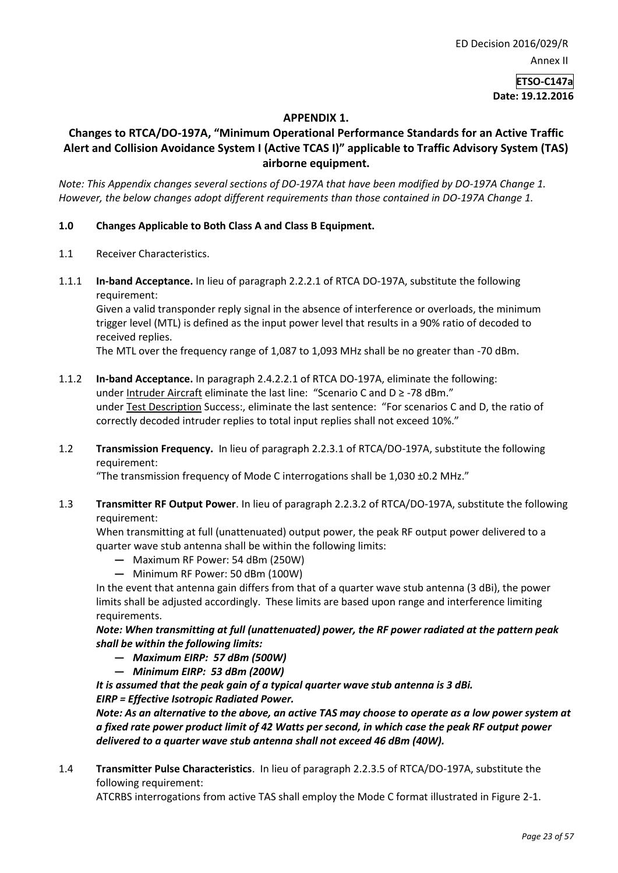# **APPENDIX 1.**

# **Changes to RTCA/DO-197A, "Minimum Operational Performance Standards for an Active Traffic Alert and Collision Avoidance System I (Active TCAS I)" applicable to Traffic Advisory System (TAS) airborne equipment.**

*Note: This Appendix changes several sections of DO-197A that have been modified by DO-197A Change 1. However, the below changes adopt different requirements than those contained in DO-197A Change 1.* 

#### **1.0 Changes Applicable to Both Class A and Class B Equipment.**

- 1.1 Receiver Characteristics.
- 1.1.1 **In-band Acceptance.** In lieu of paragraph 2.2.2.1 of RTCA DO-197A, substitute the following requirement:

Given a valid transponder reply signal in the absence of interference or overloads, the minimum trigger level (MTL) is defined as the input power level that results in a 90% ratio of decoded to received replies.

The MTL over the frequency range of 1,087 to 1,093 MHz shall be no greater than -70 dBm.

- 1.1.2 **In-band Acceptance.** In paragraph 2.4.2.2.1 of RTCA DO-197A, eliminate the following: under Intruder Aircraft eliminate the last line: "Scenario C and D ≥ -78 dBm." under Test Description Success:, eliminate the last sentence: "For scenarios C and D, the ratio of correctly decoded intruder replies to total input replies shall not exceed 10%."
- 1.2 **Transmission Frequency.** In lieu of paragraph 2.2.3.1 of RTCA/DO-197A, substitute the following requirement:

"The transmission frequency of Mode C interrogations shall be 1,030 ±0.2 MHz."

1.3 **Transmitter RF Output Power**. In lieu of paragraph 2.2.3.2 of RTCA/DO-197A, substitute the following requirement:

When transmitting at full (unattenuated) output power, the peak RF output power delivered to a quarter wave stub antenna shall be within the following limits:

- **—** Maximum RF Power: 54 dBm (250W)
- **—** Minimum RF Power: 50 dBm (100W)

In the event that antenna gain differs from that of a quarter wave stub antenna (3 dBi), the power limits shall be adjusted accordingly. These limits are based upon range and interference limiting requirements.

*Note: When transmitting at full (unattenuated) power, the RF power radiated at the pattern peak shall be within the following limits:* 

- **—** *Maximum EIRP: 57 dBm (500W)*
- **—** *Minimum EIRP: 53 dBm (200W)*

*It is assumed that the peak gain of a typical quarter wave stub antenna is 3 dBi. EIRP = Effective Isotropic Radiated Power.* 

*Note: As an alternative to the above, an active TAS may choose to operate as a low power system at a fixed rate power product limit of 42 Watts per second, in which case the peak RF output power delivered to a quarter wave stub antenna shall not exceed 46 dBm (40W).* 

1.4 **Transmitter Pulse Characteristics**. In lieu of paragraph 2.2.3.5 of RTCA/DO-197A, substitute the following requirement:

ATCRBS interrogations from active TAS shall employ the Mode C format illustrated in Figure 2-1.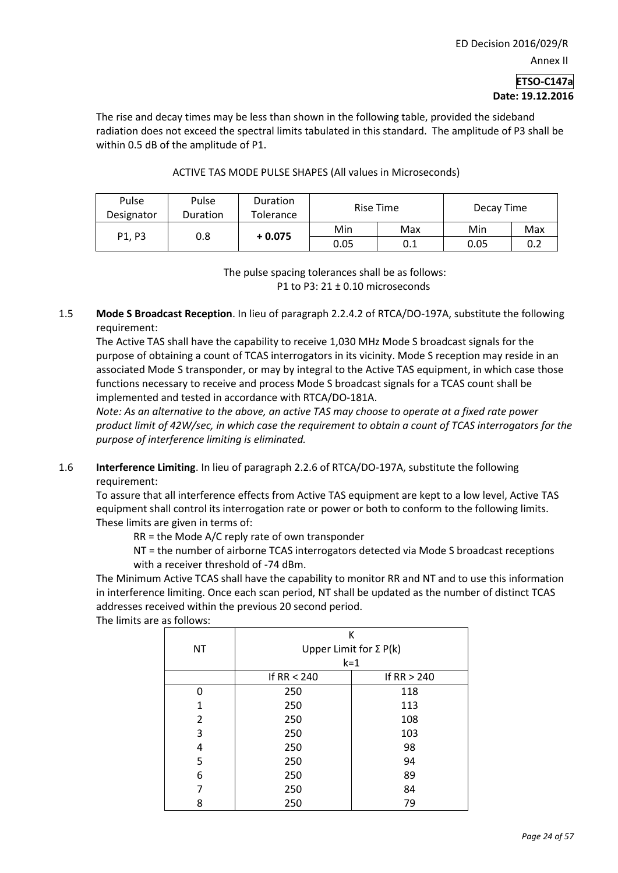The rise and decay times may be less than shown in the following table, provided the sideband radiation does not exceed the spectral limits tabulated in this standard. The amplitude of P3 shall be within 0.5 dB of the amplitude of P1.

| Pulse<br>Designator | Pulse<br>Duration | <b>Duration</b><br>Tolerance | Rise Time |     | Decay Time |     |
|---------------------|-------------------|------------------------------|-----------|-----|------------|-----|
| P1.P3               | 0.8               | $+0.075$                     | Min       | Max | Min        | Max |
|                     |                   |                              | 0.05      | 0.1 | 0.05       | 0.2 |

#### ACTIVE TAS MODE PULSE SHAPES (All values in Microseconds)

The pulse spacing tolerances shall be as follows: P1 to P3: 21 ± 0.10 microseconds

1.5 **Mode S Broadcast Reception**. In lieu of paragraph 2.2.4.2 of RTCA/DO-197A, substitute the following requirement:

The Active TAS shall have the capability to receive 1,030 MHz Mode S broadcast signals for the purpose of obtaining a count of TCAS interrogators in its vicinity. Mode S reception may reside in an associated Mode S transponder, or may by integral to the Active TAS equipment, in which case those functions necessary to receive and process Mode S broadcast signals for a TCAS count shall be implemented and tested in accordance with RTCA/DO-181A.

*Note: As an alternative to the above, an active TAS may choose to operate at a fixed rate power product limit of 42W/sec, in which case the requirement to obtain a count of TCAS interrogators for the purpose of interference limiting is eliminated.* 

1.6 **Interference Limiting**. In lieu of paragraph 2.2.6 of RTCA/DO-197A, substitute the following requirement:

To assure that all interference effects from Active TAS equipment are kept to a low level, Active TAS equipment shall control its interrogation rate or power or both to conform to the following limits. These limits are given in terms of:

RR = the Mode A/C reply rate of own transponder

NT = the number of airborne TCAS interrogators detected via Mode S broadcast receptions with a receiver threshold of -74 dBm.

The Minimum Active TCAS shall have the capability to monitor RR and NT and to use this information in interference limiting. Once each scan period, NT shall be updated as the number of distinct TCAS addresses received within the previous 20 second period.

The limits are as follows:

|           | К                             |               |  |  |  |
|-----------|-------------------------------|---------------|--|--|--|
| <b>NT</b> | Upper Limit for $\Sigma P(k)$ |               |  |  |  |
|           | $k = 1$                       |               |  |  |  |
|           | If $RR < 240$                 | If $RR > 240$ |  |  |  |
| ŋ         | 250                           | 118           |  |  |  |
| 1         | 250                           | 113           |  |  |  |
| 2         | 250                           | 108           |  |  |  |
| 3         | 250                           | 103           |  |  |  |
| 4         | 250                           | 98            |  |  |  |
| 5         | 250                           | 94            |  |  |  |
| 6         | 250                           | 89            |  |  |  |
| 7         | 250                           | 84            |  |  |  |
| 8         | 250                           | 79            |  |  |  |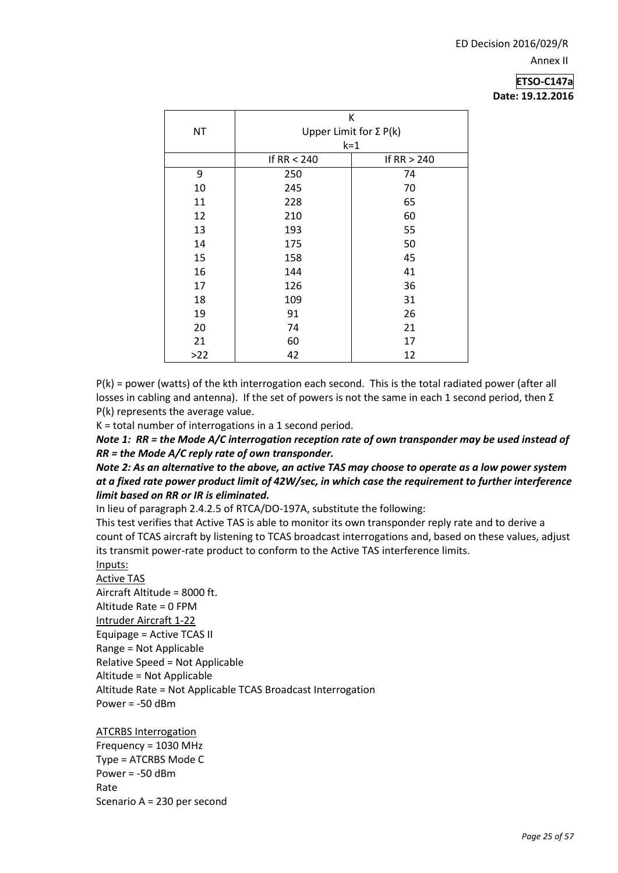|           | K                             |               |  |  |  |
|-----------|-------------------------------|---------------|--|--|--|
| <b>NT</b> | Upper Limit for $\Sigma P(k)$ |               |  |  |  |
|           | $k = 1$                       |               |  |  |  |
|           | If RR $<$ 240                 | If $RR > 240$ |  |  |  |
| 9         | 250                           | 74            |  |  |  |
| 10        | 245                           | 70            |  |  |  |
| 11        | 228                           | 65            |  |  |  |
| 12        | 210                           | 60            |  |  |  |
| 13        | 193                           | 55            |  |  |  |
| 14        | 175                           | 50            |  |  |  |
| 15        | 158                           | 45            |  |  |  |
| 16        | 144                           | 41            |  |  |  |
| 17        | 126                           | 36            |  |  |  |
| 18        | 109                           | 31            |  |  |  |
| 19        | 91                            | 26            |  |  |  |
| 20        | 74                            | 21            |  |  |  |
| 21        | 60                            | 17            |  |  |  |
| $>22$     | 42                            | 12            |  |  |  |

P(k) = power (watts) of the kth interrogation each second. This is the total radiated power (after all losses in cabling and antenna). If the set of powers is not the same in each 1 second period, then Σ P(k) represents the average value.

K = total number of interrogations in a 1 second period.

*Note 1: RR = the Mode A/C interrogation reception rate of own transponder may be used instead of RR = the Mode A/C reply rate of own transponder.* 

*Note 2: As an alternative to the above, an active TAS may choose to operate as a low power system at a fixed rate power product limit of 42W/sec, in which case the requirement to further interference limit based on RR or IR is eliminated.* 

In lieu of paragraph 2.4.2.5 of RTCA/DO-197A, substitute the following:

This test verifies that Active TAS is able to monitor its own transponder reply rate and to derive a count of TCAS aircraft by listening to TCAS broadcast interrogations and, based on these values, adjust its transmit power-rate product to conform to the Active TAS interference limits.

Inputs:

Active TAS Aircraft Altitude = 8000 ft. Altitude Rate = 0 FPM Intruder Aircraft 1-22 Equipage = Active TCAS II Range = Not Applicable Relative Speed = Not Applicable Altitude = Not Applicable Altitude Rate = Not Applicable TCAS Broadcast Interrogation Power = -50 dBm

ATCRBS Interrogation Frequency = 1030 MHz Type = ATCRBS Mode C Power = -50 dBm Rate Scenario A = 230 per second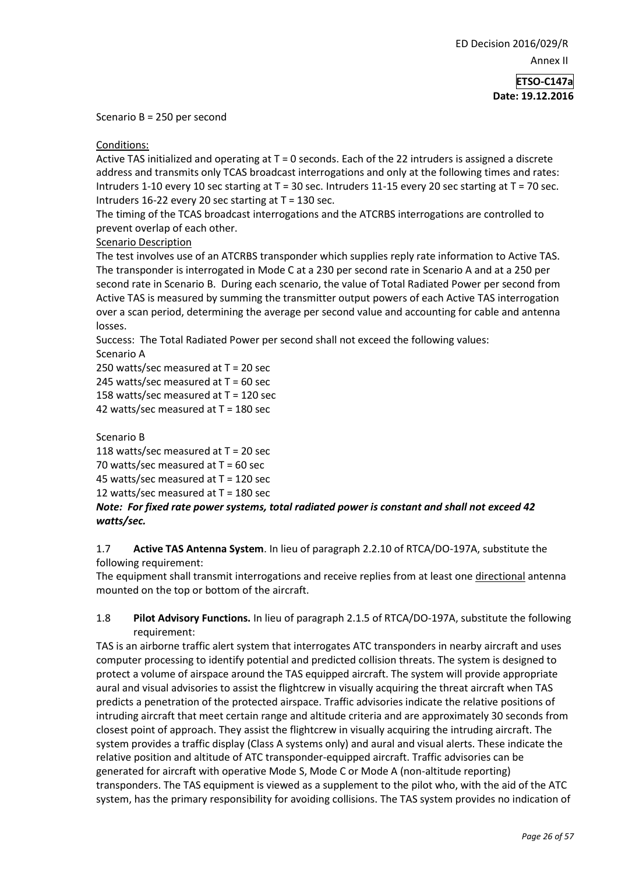Scenario B = 250 per second

Conditions:

Active TAS initialized and operating at  $T = 0$  seconds. Each of the 22 intruders is assigned a discrete address and transmits only TCAS broadcast interrogations and only at the following times and rates: Intruders 1-10 every 10 sec starting at T = 30 sec. Intruders 11-15 every 20 sec starting at T = 70 sec. Intruders 16-22 every 20 sec starting at  $T = 130$  sec.

The timing of the TCAS broadcast interrogations and the ATCRBS interrogations are controlled to prevent overlap of each other.

#### Scenario Description

The test involves use of an ATCRBS transponder which supplies reply rate information to Active TAS. The transponder is interrogated in Mode C at a 230 per second rate in Scenario A and at a 250 per second rate in Scenario B. During each scenario, the value of Total Radiated Power per second from Active TAS is measured by summing the transmitter output powers of each Active TAS interrogation over a scan period, determining the average per second value and accounting for cable and antenna losses.

Success: The Total Radiated Power per second shall not exceed the following values: Scenario A

250 watts/sec measured at T = 20 sec

245 watts/sec measured at  $T = 60$  sec

158 watts/sec measured at T = 120 sec

42 watts/sec measured at T = 180 sec

Scenario B

118 watts/sec measured at T = 20 sec

70 watts/sec measured at  $T = 60$  sec

45 watts/sec measured at T = 120 sec

12 watts/sec measured at  $T = 180$  sec

*Note: For fixed rate power systems, total radiated power is constant and shall not exceed 42 watts/sec.* 

#### 1.7 **Active TAS Antenna System**. In lieu of paragraph 2.2.10 of RTCA/DO-197A, substitute the following requirement:

The equipment shall transmit interrogations and receive replies from at least one directional antenna mounted on the top or bottom of the aircraft.

## 1.8 **Pilot Advisory Functions.** In lieu of paragraph 2.1.5 of RTCA/DO-197A, substitute the following requirement:

TAS is an airborne traffic alert system that interrogates ATC transponders in nearby aircraft and uses computer processing to identify potential and predicted collision threats. The system is designed to protect a volume of airspace around the TAS equipped aircraft. The system will provide appropriate aural and visual advisories to assist the flightcrew in visually acquiring the threat aircraft when TAS predicts a penetration of the protected airspace. Traffic advisories indicate the relative positions of intruding aircraft that meet certain range and altitude criteria and are approximately 30 seconds from closest point of approach. They assist the flightcrew in visually acquiring the intruding aircraft. The system provides a traffic display (Class A systems only) and aural and visual alerts. These indicate the relative position and altitude of ATC transponder-equipped aircraft. Traffic advisories can be generated for aircraft with operative Mode S, Mode C or Mode A (non-altitude reporting) transponders. The TAS equipment is viewed as a supplement to the pilot who, with the aid of the ATC system, has the primary responsibility for avoiding collisions. The TAS system provides no indication of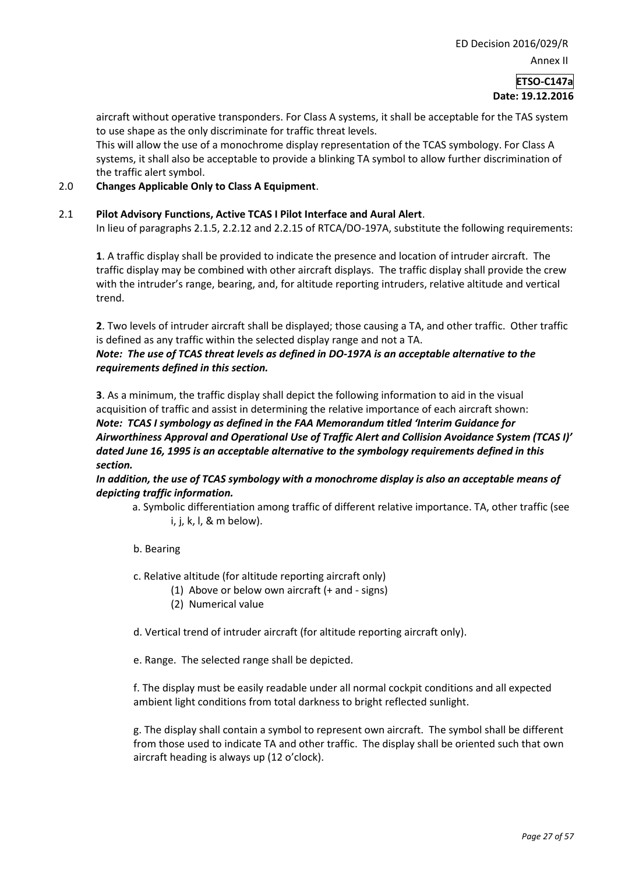Annex II

**ETSO-C147a Date: 19.12.2016**

aircraft without operative transponders. For Class A systems, it shall be acceptable for the TAS system to use shape as the only discriminate for traffic threat levels.

This will allow the use of a monochrome display representation of the TCAS symbology. For Class A systems, it shall also be acceptable to provide a blinking TA symbol to allow further discrimination of the traffic alert symbol.

#### 2.0 **Changes Applicable Only to Class A Equipment**.

#### 2.1 **Pilot Advisory Functions, Active TCAS I Pilot Interface and Aural Alert**.

In lieu of paragraphs 2.1.5, 2.2.12 and 2.2.15 of RTCA/DO-197A, substitute the following requirements:

**1**. A traffic display shall be provided to indicate the presence and location of intruder aircraft. The traffic display may be combined with other aircraft displays. The traffic display shall provide the crew with the intruder's range, bearing, and, for altitude reporting intruders, relative altitude and vertical trend.

**2**. Two levels of intruder aircraft shall be displayed; those causing a TA, and other traffic. Other traffic is defined as any traffic within the selected display range and not a TA.

#### *Note: The use of TCAS threat levels as defined in DO-197A is an acceptable alternative to the requirements defined in this section.*

**3**. As a minimum, the traffic display shall depict the following information to aid in the visual acquisition of traffic and assist in determining the relative importance of each aircraft shown: *Note: TCAS I symbology as defined in the FAA Memorandum titled 'Interim Guidance for Airworthiness Approval and Operational Use of Traffic Alert and Collision Avoidance System (TCAS I)' dated June 16, 1995 is an acceptable alternative to the symbology requirements defined in this section.* 

*In addition, the use of TCAS symbology with a monochrome display is also an acceptable means of depicting traffic information.* 

a. Symbolic differentiation among traffic of different relative importance. TA, other traffic (see i, j, k, l, & m below).

#### b. Bearing

- c. Relative altitude (for altitude reporting aircraft only)
	- (1) Above or below own aircraft (+ and signs)
	- (2) Numerical value
- d. Vertical trend of intruder aircraft (for altitude reporting aircraft only).
- e. Range. The selected range shall be depicted.

f. The display must be easily readable under all normal cockpit conditions and all expected ambient light conditions from total darkness to bright reflected sunlight.

g. The display shall contain a symbol to represent own aircraft. The symbol shall be different from those used to indicate TA and other traffic. The display shall be oriented such that own aircraft heading is always up (12 o'clock).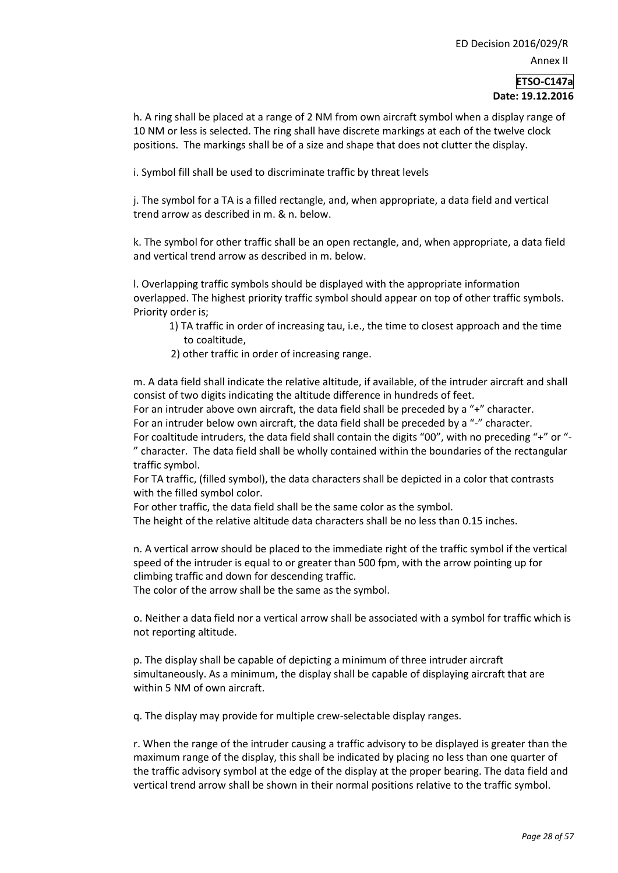h. A ring shall be placed at a range of 2 NM from own aircraft symbol when a display range of 10 NM or less is selected. The ring shall have discrete markings at each of the twelve clock positions. The markings shall be of a size and shape that does not clutter the display.

i. Symbol fill shall be used to discriminate traffic by threat levels

j. The symbol for a TA is a filled rectangle, and, when appropriate, a data field and vertical trend arrow as described in m. & n. below.

k. The symbol for other traffic shall be an open rectangle, and, when appropriate, a data field and vertical trend arrow as described in m. below.

l. Overlapping traffic symbols should be displayed with the appropriate information overlapped. The highest priority traffic symbol should appear on top of other traffic symbols. Priority order is;

- 1) TA traffic in order of increasing tau, i.e., the time to closest approach and the time to coaltitude,
- 2) other traffic in order of increasing range.

m. A data field shall indicate the relative altitude, if available, of the intruder aircraft and shall consist of two digits indicating the altitude difference in hundreds of feet. For an intruder above own aircraft, the data field shall be preceded by a "+" character.

For an intruder below own aircraft, the data field shall be preceded by a "-" character.

For coaltitude intruders, the data field shall contain the digits "00", with no preceding "+" or "- " character. The data field shall be wholly contained within the boundaries of the rectangular traffic symbol.

For TA traffic, (filled symbol), the data characters shall be depicted in a color that contrasts with the filled symbol color.

For other traffic, the data field shall be the same color as the symbol.

The height of the relative altitude data characters shall be no less than 0.15 inches.

n. A vertical arrow should be placed to the immediate right of the traffic symbol if the vertical speed of the intruder is equal to or greater than 500 fpm, with the arrow pointing up for climbing traffic and down for descending traffic.

The color of the arrow shall be the same as the symbol.

o. Neither a data field nor a vertical arrow shall be associated with a symbol for traffic which is not reporting altitude.

p. The display shall be capable of depicting a minimum of three intruder aircraft simultaneously. As a minimum, the display shall be capable of displaying aircraft that are within 5 NM of own aircraft.

q. The display may provide for multiple crew-selectable display ranges.

r. When the range of the intruder causing a traffic advisory to be displayed is greater than the maximum range of the display, this shall be indicated by placing no less than one quarter of the traffic advisory symbol at the edge of the display at the proper bearing. The data field and vertical trend arrow shall be shown in their normal positions relative to the traffic symbol.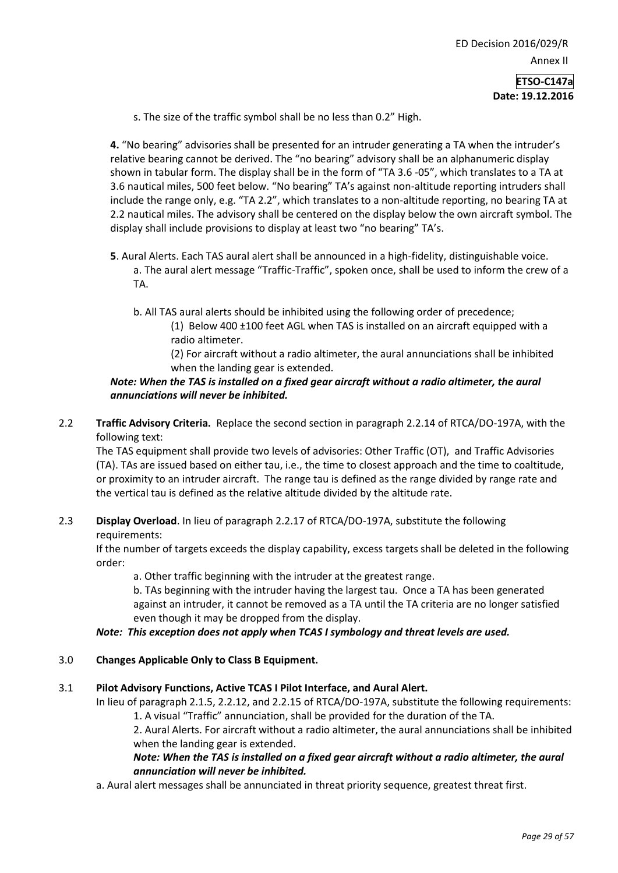- **Date: 19.12.2016**
- s. The size of the traffic symbol shall be no less than 0.2" High.

**4.** "No bearing" advisories shall be presented for an intruder generating a TA when the intruder's relative bearing cannot be derived. The "no bearing" advisory shall be an alphanumeric display shown in tabular form. The display shall be in the form of "TA 3.6 -05", which translates to a TA at 3.6 nautical miles, 500 feet below. "No bearing" TA's against non-altitude reporting intruders shall include the range only, e.g. "TA 2.2", which translates to a non-altitude reporting, no bearing TA at 2.2 nautical miles. The advisory shall be centered on the display below the own aircraft symbol. The display shall include provisions to display at least two "no bearing" TA's.

- **5**. Aural Alerts. Each TAS aural alert shall be announced in a high-fidelity, distinguishable voice. a. The aural alert message "Traffic-Traffic", spoken once, shall be used to inform the crew of a TA.
	- b. All TAS aural alerts should be inhibited using the following order of precedence; (1) Below 400 ±100 feet AGL when TAS is installed on an aircraft equipped with a radio altimeter.
		- (2) For aircraft without a radio altimeter, the aural annunciations shall be inhibited when the landing gear is extended.

#### *Note: When the TAS is installed on a fixed gear aircraft without a radio altimeter, the aural annunciations will never be inhibited.*

2.2 **Traffic Advisory Criteria.** Replace the second section in paragraph 2.2.14 of RTCA/DO-197A, with the following text:

The TAS equipment shall provide two levels of advisories: Other Traffic (OT), and Traffic Advisories (TA). TAs are issued based on either tau, i.e., the time to closest approach and the time to coaltitude, or proximity to an intruder aircraft. The range tau is defined as the range divided by range rate and the vertical tau is defined as the relative altitude divided by the altitude rate.

## 2.3 **Display Overload**. In lieu of paragraph 2.2.17 of RTCA/DO-197A, substitute the following requirements:

If the number of targets exceeds the display capability, excess targets shall be deleted in the following order:

a. Other traffic beginning with the intruder at the greatest range.

b. TAs beginning with the intruder having the largest tau. Once a TA has been generated against an intruder, it cannot be removed as a TA until the TA criteria are no longer satisfied even though it may be dropped from the display.

## *Note: This exception does not apply when TCAS I symbology and threat levels are used.*

## 3.0 **Changes Applicable Only to Class B Equipment.**

#### 3.1 **Pilot Advisory Functions, Active TCAS I Pilot Interface, and Aural Alert.**

In lieu of paragraph 2.1.5, 2.2.12, and 2.2.15 of RTCA/DO-197A, substitute the following requirements: 1. A visual "Traffic" annunciation, shall be provided for the duration of the TA.

2. Aural Alerts. For aircraft without a radio altimeter, the aural annunciations shall be inhibited when the landing gear is extended.

## *Note: When the TAS is installed on a fixed gear aircraft without a radio altimeter, the aural annunciation will never be inhibited.*

a. Aural alert messages shall be annunciated in threat priority sequence, greatest threat first.